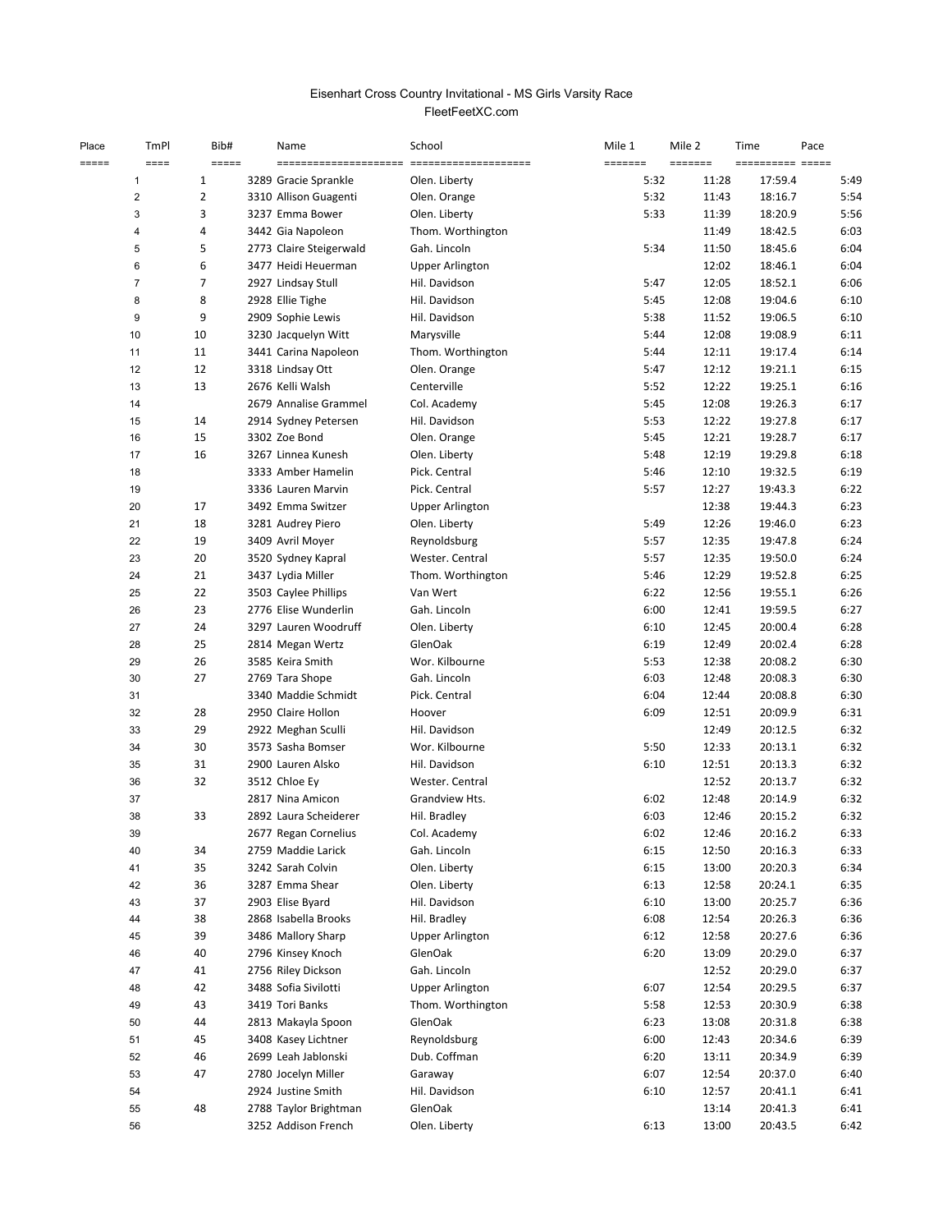# FleetFeetXC.com Eisenhart Cross Country Invitational - MS Girls Varsity Race

| Place<br>===== | TmPl<br>$=$ $=$ $=$ $=$ | Bib#<br>=====  | Name                    | School                 | Mile 1<br>======= | Mile 2<br>======= | Time<br>---------- ----- | Pace |
|----------------|-------------------------|----------------|-------------------------|------------------------|-------------------|-------------------|--------------------------|------|
|                | 1                       | 1              | 3289 Gracie Sprankle    | Olen. Liberty          | 5:32              | 11:28             | 17:59.4                  | 5:49 |
|                | $\overline{2}$          | $\overline{2}$ | 3310 Allison Guagenti   | Olen. Orange           | 5:32              | 11:43             | 18:16.7                  | 5:54 |
|                | 3                       | 3              | 3237 Emma Bower         | Olen. Liberty          | 5:33              | 11:39             | 18:20.9                  | 5:56 |
|                | 4                       | 4              | 3442 Gia Napoleon       | Thom. Worthington      |                   | 11:49             | 18:42.5                  | 6:03 |
|                | 5                       | 5              | 2773 Claire Steigerwald | Gah. Lincoln           | 5:34              | 11:50             | 18:45.6                  | 6:04 |
|                | 6                       | 6              | 3477 Heidi Heuerman     | <b>Upper Arlington</b> |                   | 12:02             | 18:46.1                  | 6:04 |
|                | $\overline{7}$          | 7              | 2927 Lindsay Stull      | Hil. Davidson          | 5:47              | 12:05             | 18:52.1                  | 6:06 |
|                | 8                       | 8              | 2928 Ellie Tighe        | Hil. Davidson          | 5:45              | 12:08             | 19:04.6                  | 6:10 |
|                | 9                       | 9              | 2909 Sophie Lewis       | Hil. Davidson          | 5:38              | 11:52             | 19:06.5                  | 6:10 |
|                | $10$                    | 10             | 3230 Jacquelyn Witt     | Marysville             | 5:44              | 12:08             | 19:08.9                  | 6:11 |
|                | 11                      | 11             | 3441 Carina Napoleon    | Thom. Worthington      | 5:44              | 12:11             | 19:17.4                  | 6:14 |
|                | 12                      | 12             | 3318 Lindsay Ott        | Olen. Orange           | 5:47              | 12:12             | 19:21.1                  | 6:15 |
|                | 13                      | 13             | 2676 Kelli Walsh        | Centerville            | 5:52              | 12:22             | 19:25.1                  | 6:16 |
|                | 14                      |                | 2679 Annalise Grammel   | Col. Academy           | 5:45              | 12:08             | 19:26.3                  | 6:17 |
|                | 15                      | 14             | 2914 Sydney Petersen    | Hil. Davidson          | 5:53              | 12:22             | 19:27.8                  | 6:17 |
|                | 16                      | 15             | 3302 Zoe Bond           | Olen. Orange           | 5:45              | 12:21             | 19:28.7                  | 6:17 |
|                | 17                      | 16             | 3267 Linnea Kunesh      | Olen. Liberty          | 5:48              | 12:19             | 19:29.8                  | 6:18 |
|                |                         |                | 3333 Amber Hamelin      | Pick. Central          | 5:46              | 12:10             | 19:32.5                  | 6:19 |
|                | 18                      |                |                         | Pick. Central          |                   |                   |                          |      |
|                | 19                      |                | 3336 Lauren Marvin      |                        | 5:57              | 12:27             | 19:43.3                  | 6:22 |
|                | 20                      | 17             | 3492 Emma Switzer       | <b>Upper Arlington</b> |                   | 12:38             | 19:44.3                  | 6:23 |
|                | 21                      | 18             | 3281 Audrey Piero       | Olen. Liberty          | 5:49              | 12:26             | 19:46.0                  | 6:23 |
|                | 22                      | 19             | 3409 Avril Moyer        | Reynoldsburg           | 5:57              | 12:35             | 19:47.8                  | 6:24 |
|                | 23                      | 20             | 3520 Sydney Kapral      | Wester. Central        | 5:57              | 12:35             | 19:50.0                  | 6:24 |
|                | 24                      | 21             | 3437 Lydia Miller       | Thom. Worthington      | 5:46              | 12:29             | 19:52.8                  | 6:25 |
|                | 25                      | 22             | 3503 Caylee Phillips    | Van Wert               | 6:22              | 12:56             | 19:55.1                  | 6:26 |
|                | 26                      | 23             | 2776 Elise Wunderlin    | Gah. Lincoln           | 6:00              | 12:41             | 19:59.5                  | 6:27 |
|                | 27                      | 24             | 3297 Lauren Woodruff    | Olen. Liberty          | 6:10              | 12:45             | 20:00.4                  | 6:28 |
|                | 28                      | 25             | 2814 Megan Wertz        | GlenOak                | 6:19              | 12:49             | 20:02.4                  | 6:28 |
|                | 29                      | 26             | 3585 Keira Smith        | Wor. Kilbourne         | 5:53              | 12:38             | 20:08.2                  | 6:30 |
|                | 30                      | 27             | 2769 Tara Shope         | Gah. Lincoln           | 6:03              | 12:48             | 20:08.3                  | 6:30 |
|                | 31                      |                | 3340 Maddie Schmidt     | Pick. Central          | 6:04              | 12:44             | 20:08.8                  | 6:30 |
|                | 32                      | 28             | 2950 Claire Hollon      | Hoover                 | 6:09              | 12:51             | 20:09.9                  | 6:31 |
|                | 33                      | 29             | 2922 Meghan Sculli      | Hil. Davidson          |                   | 12:49             | 20:12.5                  | 6:32 |
|                | 34                      | 30             | 3573 Sasha Bomser       | Wor. Kilbourne         | 5:50              | 12:33             | 20:13.1                  | 6:32 |
|                | 35                      | 31             | 2900 Lauren Alsko       | Hil. Davidson          | 6:10              | 12:51             | 20:13.3                  | 6:32 |
|                | 36                      | 32             | 3512 Chloe Ey           | Wester. Central        |                   | 12:52             | 20:13.7                  | 6:32 |
|                | 37                      |                | 2817 Nina Amicon        | Grandview Hts.         | 6:02              | 12:48             | 20:14.9                  | 6:32 |
|                | 38                      | 33             | 2892 Laura Scheiderer   | Hil. Bradley           | 6:03              | 12:46             | 20:15.2                  | 6:32 |
|                | 39                      |                | 2677 Regan Cornelius    | Col. Academy           | 6:02              | 12:46             | 20:16.2                  | 6:33 |
|                | 40                      | 34             | 2759 Maddie Larick      | Gah. Lincoln           | 6:15              | 12:50             | 20:16.3                  | 6:33 |
|                | 41                      | 35             | 3242 Sarah Colvin       | Olen. Liberty          | 6:15              | 13:00             | 20:20.3                  | 6:34 |
|                | 42                      | 36             | 3287 Emma Shear         | Olen. Liberty          | 6:13              | 12:58             | 20:24.1                  | 6:35 |
|                | 43                      | 37             | 2903 Elise Byard        | Hil. Davidson          | 6:10              | 13:00             | 20:25.7                  | 6:36 |
|                | 44                      | 38             | 2868 Isabella Brooks    | Hil. Bradley           | 6:08              | 12:54             | 20:26.3                  | 6:36 |
|                | 45                      | 39             | 3486 Mallory Sharp      | <b>Upper Arlington</b> | 6:12              | 12:58             | 20:27.6                  | 6:36 |
|                | 46                      | 40             | 2796 Kinsey Knoch       | GlenOak                | 6:20              | 13:09             | 20:29.0                  | 6:37 |
|                | 47                      | 41             | 2756 Riley Dickson      | Gah. Lincoln           |                   | 12:52             | 20:29.0                  | 6:37 |
|                | 48                      | 42             | 3488 Sofia Sivilotti    | <b>Upper Arlington</b> | 6:07              | 12:54             | 20:29.5                  | 6:37 |
|                | 49                      | 43             | 3419 Tori Banks         | Thom. Worthington      | 5:58              | 12:53             | 20:30.9                  | 6:38 |
|                | 50                      | 44             | 2813 Makayla Spoon      | GlenOak                | 6:23              | 13:08             | 20:31.8                  | 6:38 |
|                | 51                      | 45             | 3408 Kasey Lichtner     | Reynoldsburg           | 6:00              | 12:43             | 20:34.6                  | 6:39 |
|                | 52                      | 46             | 2699 Leah Jablonski     | Dub. Coffman           | 6:20              | 13:11             | 20:34.9                  | 6:39 |
|                | 53                      | 47             | 2780 Jocelyn Miller     | Garaway                | 6:07              | 12:54             | 20:37.0                  | 6:40 |
|                | 54                      |                | 2924 Justine Smith      | Hil. Davidson          | 6:10              | 12:57             | 20:41.1                  | 6:41 |
|                | 55                      | 48             | 2788 Taylor Brightman   | GlenOak                |                   | 13:14             | 20:41.3                  | 6:41 |
|                | 56                      |                | 3252 Addison French     | Olen. Liberty          | 6:13              | 13:00             | 20:43.5                  | 6:42 |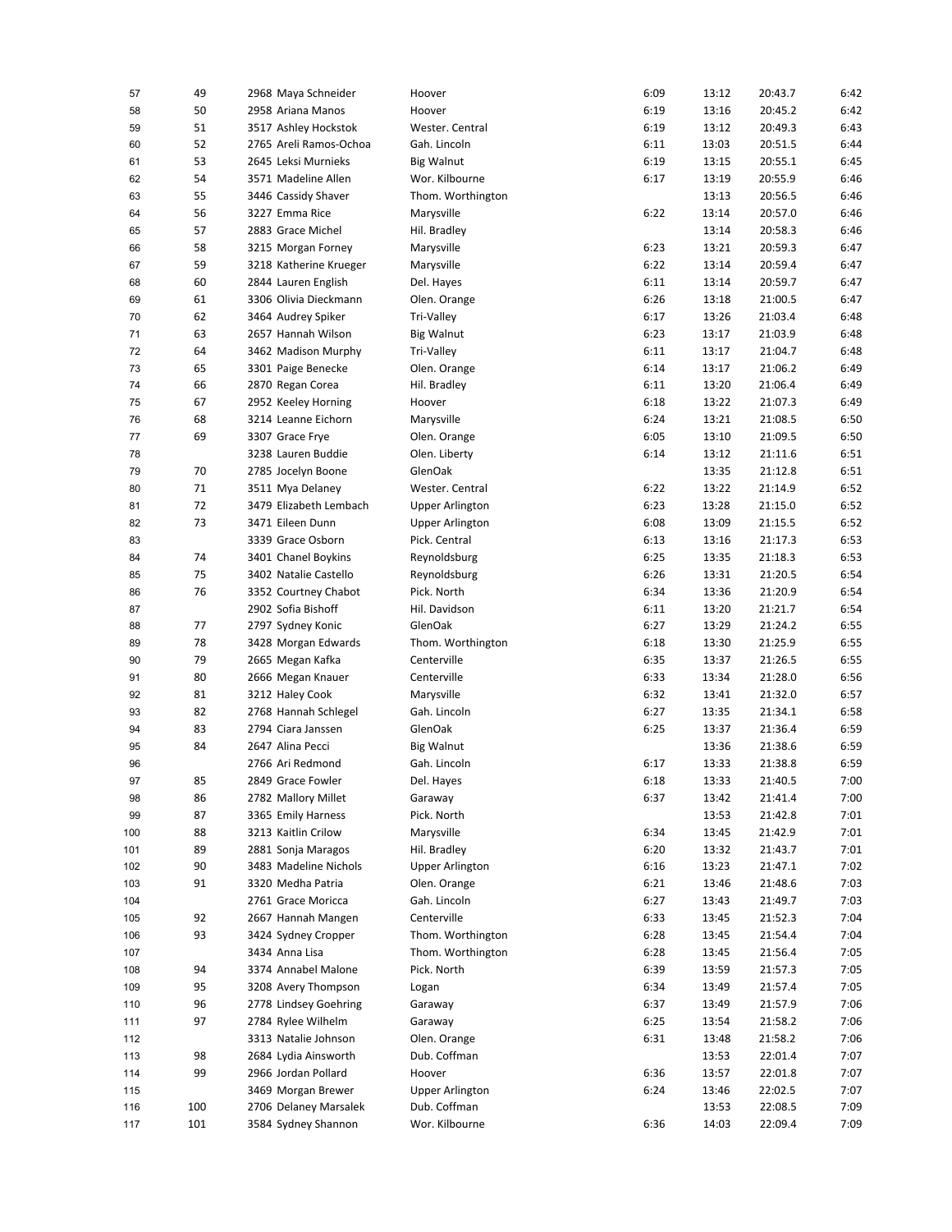| 57  | 49  | 2968 Maya Schneider                        | Hoover                 | 6:09 | 13:12 | 20:43.7 | 6:42 |
|-----|-----|--------------------------------------------|------------------------|------|-------|---------|------|
| 58  | 50  | 2958 Ariana Manos                          | Hoover                 | 6:19 | 13:16 | 20:45.2 | 6:42 |
| 59  | 51  | 3517 Ashley Hockstok                       | Wester. Central        | 6:19 | 13:12 | 20:49.3 | 6:43 |
| 60  | 52  | 2765 Areli Ramos-Ochoa                     | Gah. Lincoln           | 6:11 | 13:03 | 20:51.5 | 6:44 |
| 61  | 53  | 2645 Leksi Murnieks                        | <b>Big Walnut</b>      | 6:19 | 13:15 | 20:55.1 | 6:45 |
| 62  | 54  | 3571 Madeline Allen                        | Wor. Kilbourne         | 6:17 | 13:19 | 20:55.9 | 6:46 |
| 63  | 55  | 3446 Cassidy Shaver                        | Thom. Worthington      |      | 13:13 | 20:56.5 | 6:46 |
| 64  | 56  | 3227 Emma Rice                             | Marysville             | 6:22 | 13:14 | 20:57.0 | 6:46 |
| 65  | 57  | 2883 Grace Michel                          | Hil. Bradley           |      | 13:14 | 20:58.3 | 6:46 |
| 66  | 58  | 3215 Morgan Forney                         | Marysville             | 6:23 | 13:21 | 20:59.3 | 6:47 |
| 67  | 59  | 3218 Katherine Krueger                     | Marysville             | 6:22 | 13:14 | 20:59.4 | 6:47 |
| 68  | 60  | 2844 Lauren English                        | Del. Hayes             | 6:11 | 13:14 | 20:59.7 | 6:47 |
| 69  | 61  | 3306 Olivia Dieckmann                      | Olen. Orange           | 6:26 | 13:18 | 21:00.5 | 6:47 |
| 70  | 62  | 3464 Audrey Spiker                         | Tri-Valley             | 6:17 | 13:26 | 21:03.4 | 6:48 |
| 71  | 63  | 2657 Hannah Wilson                         | <b>Big Walnut</b>      | 6:23 | 13:17 | 21:03.9 | 6:48 |
| 72  | 64  | 3462 Madison Murphy                        | Tri-Valley             | 6:11 | 13:17 | 21:04.7 | 6:48 |
| 73  | 65  | 3301 Paige Benecke                         | Olen. Orange           | 6:14 | 13:17 | 21:06.2 | 6:49 |
| 74  | 66  | 2870 Regan Corea                           | Hil. Bradley           | 6:11 | 13:20 | 21:06.4 | 6:49 |
| 75  | 67  |                                            |                        | 6:18 | 13:22 | 21:07.3 | 6:49 |
|     |     | 2952 Keeley Horning<br>3214 Leanne Eichorn | Hoover                 |      |       |         |      |
| 76  | 68  |                                            | Marysville             | 6:24 | 13:21 | 21:08.5 | 6:50 |
| 77  | 69  | 3307 Grace Frye                            | Olen. Orange           | 6:05 | 13:10 | 21:09.5 | 6:50 |
| 78  |     | 3238 Lauren Buddie                         | Olen. Liberty          | 6:14 | 13:12 | 21:11.6 | 6:51 |
| 79  | 70  | 2785 Jocelyn Boone                         | GlenOak                |      | 13:35 | 21:12.8 | 6:51 |
| 80  | 71  | 3511 Mya Delaney                           | Wester. Central        | 6:22 | 13:22 | 21:14.9 | 6:52 |
| 81  | 72  | 3479 Elizabeth Lembach                     | <b>Upper Arlington</b> | 6:23 | 13:28 | 21:15.0 | 6:52 |
| 82  | 73  | 3471 Eileen Dunn                           | <b>Upper Arlington</b> | 6:08 | 13:09 | 21:15.5 | 6:52 |
| 83  |     | 3339 Grace Osborn                          | Pick. Central          | 6:13 | 13:16 | 21:17.3 | 6:53 |
| 84  | 74  | 3401 Chanel Boykins                        | Reynoldsburg           | 6:25 | 13:35 | 21:18.3 | 6:53 |
| 85  | 75  | 3402 Natalie Castello                      | Reynoldsburg           | 6:26 | 13:31 | 21:20.5 | 6:54 |
| 86  | 76  | 3352 Courtney Chabot                       | Pick. North            | 6:34 | 13:36 | 21:20.9 | 6:54 |
| 87  |     | 2902 Sofia Bishoff                         | Hil. Davidson          | 6:11 | 13:20 | 21:21.7 | 6:54 |
| 88  | 77  | 2797 Sydney Konic                          | GlenOak                | 6:27 | 13:29 | 21:24.2 | 6:55 |
| 89  | 78  | 3428 Morgan Edwards                        | Thom. Worthington      | 6:18 | 13:30 | 21:25.9 | 6:55 |
| 90  | 79  | 2665 Megan Kafka                           | Centerville            | 6:35 | 13:37 | 21:26.5 | 6:55 |
| 91  | 80  | 2666 Megan Knauer                          | Centerville            | 6:33 | 13:34 | 21:28.0 | 6:56 |
| 92  | 81  | 3212 Haley Cook                            | Marysville             | 6:32 | 13:41 | 21:32.0 | 6:57 |
| 93  | 82  | 2768 Hannah Schlegel                       | Gah. Lincoln           | 6:27 | 13:35 | 21:34.1 | 6:58 |
| 94  | 83  | 2794 Ciara Janssen                         | GlenOak                | 6:25 | 13:37 | 21:36.4 | 6:59 |
| 95  | 84  | 2647 Alina Pecci                           | <b>Big Walnut</b>      |      | 13:36 | 21:38.6 | 6:59 |
| 96  |     | 2766 Ari Redmond                           | Gah. Lincoln           | 6:17 | 13:33 | 21:38.8 | 6:59 |
| 97  | 85  | 2849 Grace Fowler                          | Del. Hayes             | 6:18 | 13:33 | 21:40.5 | 7:00 |
| 98  | 86  | 2782 Mallory Millet                        | Garaway                | 6:37 | 13:42 | 21:41.4 | 7:00 |
| 99  | 87  | 3365 Emily Harness                         | Pick. North            |      | 13:53 | 21:42.8 | 7:01 |
| 100 | 88  | 3213 Kaitlin Crilow                        | Marysville             | 6:34 | 13:45 | 21:42.9 | 7:01 |
| 101 | 89  | 2881 Sonja Maragos                         | Hil. Bradley           | 6:20 | 13:32 | 21:43.7 | 7:01 |
| 102 | 90  | 3483 Madeline Nichols                      | <b>Upper Arlington</b> | 6:16 | 13:23 | 21:47.1 | 7:02 |
| 103 | 91  | 3320 Medha Patria                          | Olen. Orange           | 6:21 | 13:46 | 21:48.6 | 7:03 |
| 104 |     | 2761 Grace Moricca                         | Gah. Lincoln           | 6:27 | 13:43 | 21:49.7 | 7:03 |
| 105 | 92  | 2667 Hannah Mangen                         | Centerville            | 6:33 | 13:45 | 21:52.3 | 7:04 |
| 106 | 93  | 3424 Sydney Cropper                        | Thom. Worthington      | 6:28 | 13:45 | 21:54.4 | 7:04 |
| 107 |     | 3434 Anna Lisa                             | Thom. Worthington      | 6:28 | 13:45 | 21:56.4 | 7:05 |
| 108 | 94  | 3374 Annabel Malone                        | Pick. North            | 6:39 | 13:59 | 21:57.3 | 7:05 |
| 109 | 95  | 3208 Avery Thompson                        | Logan                  | 6:34 | 13:49 | 21:57.4 | 7:05 |
| 110 | 96  | 2778 Lindsey Goehring                      | Garaway                | 6:37 | 13:49 | 21:57.9 | 7:06 |
|     | 97  | 2784 Rylee Wilhelm                         | Garaway                | 6:25 | 13:54 | 21:58.2 | 7:06 |
| 111 |     | 3313 Natalie Johnson                       | Olen. Orange           | 6:31 | 13:48 | 21:58.2 | 7:06 |
| 112 | 98  | 2684 Lydia Ainsworth                       | Dub. Coffman           |      | 13:53 | 22:01.4 |      |
| 113 |     |                                            |                        |      |       |         | 7:07 |
| 114 | 99  | 2966 Jordan Pollard                        | Hoover                 | 6:36 | 13:57 | 22:01.8 | 7:07 |
| 115 |     | 3469 Morgan Brewer                         | <b>Upper Arlington</b> | 6:24 | 13:46 | 22:02.5 | 7:07 |
| 116 | 100 | 2706 Delaney Marsalek                      | Dub. Coffman           |      | 13:53 | 22:08.5 | 7:09 |
| 117 | 101 | 3584 Sydney Shannon                        | Wor. Kilbourne         | 6:36 | 14:03 | 22:09.4 | 7:09 |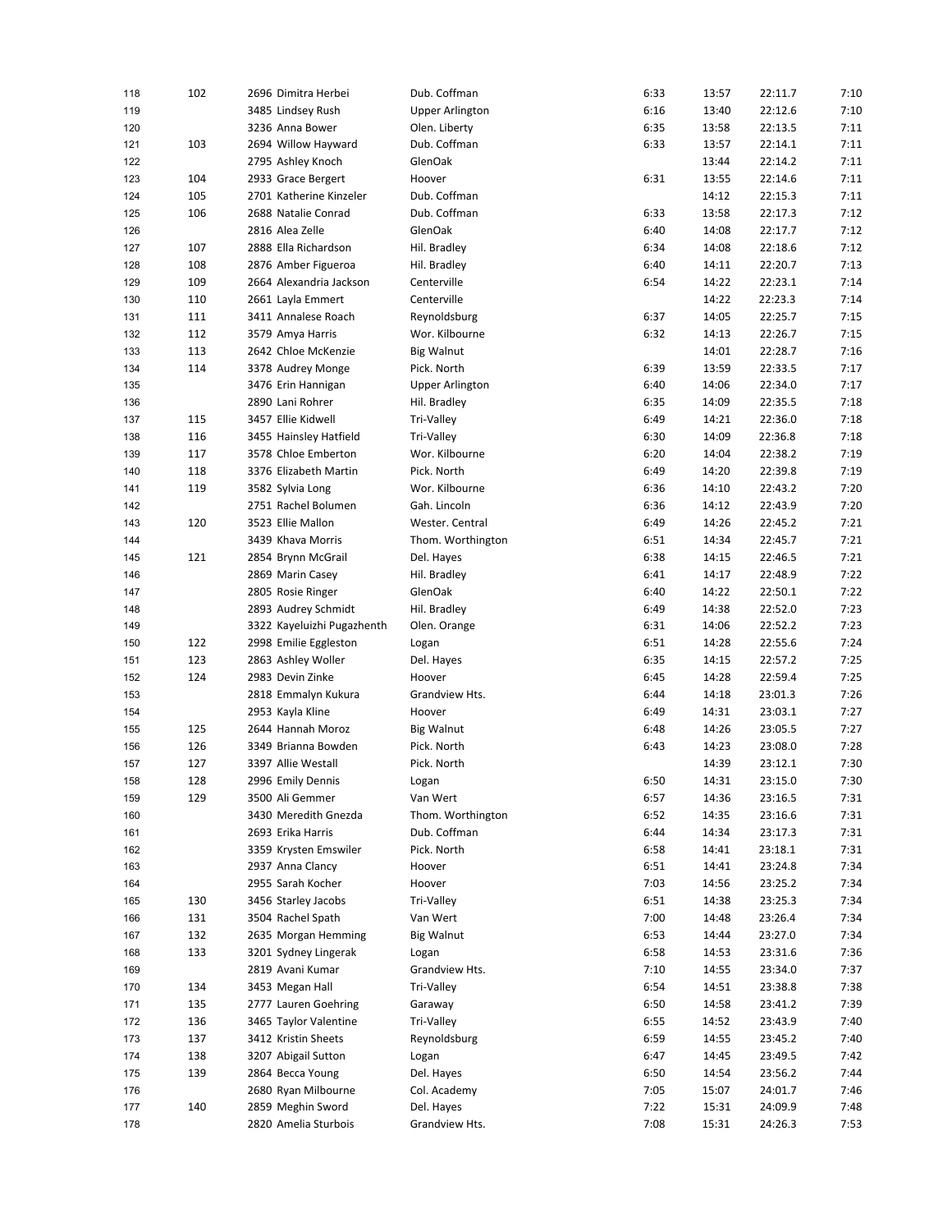| 118 | 102 | 2696 Dimitra Herbei        | Dub. Coffman                 | 6:33 | 13:57 | 22:11.7 | 7:10 |
|-----|-----|----------------------------|------------------------------|------|-------|---------|------|
| 119 |     | 3485 Lindsey Rush          | <b>Upper Arlington</b>       | 6:16 | 13:40 | 22:12.6 | 7:10 |
| 120 |     | 3236 Anna Bower            | Olen. Liberty                | 6:35 | 13:58 | 22:13.5 | 7:11 |
| 121 | 103 | 2694 Willow Hayward        | Dub. Coffman                 | 6:33 | 13:57 | 22:14.1 | 7:11 |
| 122 |     | 2795 Ashley Knoch          | GlenOak                      |      | 13:44 | 22:14.2 | 7:11 |
| 123 | 104 | 2933 Grace Bergert         | Hoover                       | 6:31 | 13:55 | 22:14.6 | 7:11 |
| 124 | 105 | 2701 Katherine Kinzeler    | Dub. Coffman                 |      | 14:12 | 22:15.3 | 7:11 |
| 125 | 106 | 2688 Natalie Conrad        | Dub. Coffman                 | 6:33 | 13:58 | 22:17.3 | 7:12 |
| 126 |     | 2816 Alea Zelle            | GlenOak                      | 6:40 | 14:08 | 22:17.7 | 7:12 |
| 127 | 107 | 2888 Ella Richardson       | Hil. Bradley                 | 6:34 | 14:08 | 22:18.6 | 7:12 |
| 128 | 108 | 2876 Amber Figueroa        | Hil. Bradley                 | 6:40 | 14:11 | 22:20.7 | 7:13 |
| 129 | 109 | 2664 Alexandria Jackson    | Centerville                  | 6:54 | 14:22 | 22:23.1 | 7:14 |
| 130 | 110 | 2661 Layla Emmert          | Centerville                  |      | 14:22 | 22:23.3 | 7:14 |
| 131 | 111 | 3411 Annalese Roach        | Reynoldsburg                 | 6:37 | 14:05 | 22:25.7 | 7:15 |
| 132 | 112 | 3579 Amya Harris           | Wor. Kilbourne               | 6:32 | 14:13 | 22:26.7 | 7:15 |
| 133 | 113 | 2642 Chloe McKenzie        | <b>Big Walnut</b>            |      | 14:01 | 22:28.7 | 7:16 |
| 134 | 114 | 3378 Audrey Monge          | Pick. North                  | 6:39 | 13:59 | 22:33.5 | 7:17 |
| 135 |     | 3476 Erin Hannigan         | <b>Upper Arlington</b>       | 6:40 | 14:06 | 22:34.0 | 7:17 |
|     |     | 2890 Lani Rohrer           | Hil. Bradley                 | 6:35 | 14:09 | 22:35.5 | 7:18 |
| 136 | 115 | 3457 Ellie Kidwell         |                              | 6:49 | 14:21 | 22:36.0 | 7:18 |
| 137 |     | 3455 Hainsley Hatfield     | Tri-Valley                   |      |       |         |      |
| 138 | 116 |                            | Tri-Valley<br>Wor. Kilbourne | 6:30 | 14:09 | 22:36.8 | 7:18 |
| 139 | 117 | 3578 Chloe Emberton        |                              | 6:20 | 14:04 | 22:38.2 | 7:19 |
| 140 | 118 | 3376 Elizabeth Martin      | Pick. North                  | 6:49 | 14:20 | 22:39.8 | 7:19 |
| 141 | 119 | 3582 Sylvia Long           | Wor. Kilbourne               | 6:36 | 14:10 | 22:43.2 | 7:20 |
| 142 |     | 2751 Rachel Bolumen        | Gah. Lincoln                 | 6:36 | 14:12 | 22:43.9 | 7:20 |
| 143 | 120 | 3523 Ellie Mallon          | Wester. Central              | 6:49 | 14:26 | 22:45.2 | 7:21 |
| 144 |     | 3439 Khava Morris          | Thom. Worthington            | 6:51 | 14:34 | 22:45.7 | 7:21 |
| 145 | 121 | 2854 Brynn McGrail         | Del. Hayes                   | 6:38 | 14:15 | 22:46.5 | 7:21 |
| 146 |     | 2869 Marin Casey           | Hil. Bradley                 | 6:41 | 14:17 | 22:48.9 | 7:22 |
| 147 |     | 2805 Rosie Ringer          | GlenOak                      | 6:40 | 14:22 | 22:50.1 | 7:22 |
| 148 |     | 2893 Audrey Schmidt        | Hil. Bradley                 | 6:49 | 14:38 | 22:52.0 | 7:23 |
| 149 |     | 3322 Kayeluizhi Pugazhenth | Olen. Orange                 | 6:31 | 14:06 | 22:52.2 | 7:23 |
| 150 | 122 | 2998 Emilie Eggleston      | Logan                        | 6:51 | 14:28 | 22:55.6 | 7:24 |
| 151 | 123 | 2863 Ashley Woller         | Del. Hayes                   | 6:35 | 14:15 | 22:57.2 | 7:25 |
| 152 | 124 | 2983 Devin Zinke           | Hoover                       | 6:45 | 14:28 | 22:59.4 | 7:25 |
| 153 |     | 2818 Emmalyn Kukura        | Grandview Hts.               | 6:44 | 14:18 | 23:01.3 | 7:26 |
| 154 |     | 2953 Kayla Kline           | Hoover                       | 6:49 | 14:31 | 23:03.1 | 7:27 |
| 155 | 125 | 2644 Hannah Moroz          | <b>Big Walnut</b>            | 6:48 | 14:26 | 23:05.5 | 7:27 |
| 156 | 126 | 3349 Brianna Bowden        | Pick. North                  | 6:43 | 14:23 | 23:08.0 | 7:28 |
| 157 | 127 | 3397 Allie Westall         | Pick. North                  |      | 14:39 | 23:12.1 | 7:30 |
| 158 | 128 | 2996 Emily Dennis          | Logan                        | 6:50 | 14:31 | 23:15.0 | 7:30 |
| 159 | 129 | 3500 Ali Gemmer            | Van Wert                     | 6:57 | 14:36 | 23:16.5 | 7:31 |
| 160 |     | 3430 Meredith Gnezda       | Thom. Worthington            | 6:52 | 14:35 | 23:16.6 | 7:31 |
| 161 |     | 2693 Erika Harris          | Dub. Coffman                 | 6:44 | 14:34 | 23:17.3 | 7:31 |
| 162 |     | 3359 Krysten Emswiler      | Pick. North                  | 6:58 | 14:41 | 23:18.1 | 7:31 |
| 163 |     | 2937 Anna Clancy           | Hoover                       | 6:51 | 14:41 | 23:24.8 | 7:34 |
| 164 |     | 2955 Sarah Kocher          | Hoover                       | 7:03 | 14:56 | 23:25.2 | 7:34 |
| 165 | 130 | 3456 Starley Jacobs        | Tri-Valley                   | 6:51 | 14:38 | 23:25.3 | 7:34 |
| 166 | 131 | 3504 Rachel Spath          | Van Wert                     | 7:00 | 14:48 | 23:26.4 | 7:34 |
| 167 | 132 | 2635 Morgan Hemming        | Big Walnut                   | 6:53 | 14:44 | 23:27.0 | 7:34 |
| 168 | 133 | 3201 Sydney Lingerak       | Logan                        | 6:58 | 14:53 | 23:31.6 | 7:36 |
| 169 |     | 2819 Avani Kumar           | Grandview Hts.               | 7:10 | 14:55 | 23:34.0 | 7:37 |
| 170 | 134 | 3453 Megan Hall            | Tri-Valley                   | 6:54 | 14:51 | 23:38.8 | 7:38 |
| 171 | 135 | 2777 Lauren Goehring       | Garaway                      | 6:50 | 14:58 | 23:41.2 | 7:39 |
| 172 | 136 | 3465 Taylor Valentine      | Tri-Valley                   | 6:55 | 14:52 | 23:43.9 | 7:40 |
| 173 | 137 | 3412 Kristin Sheets        | Reynoldsburg                 | 6:59 | 14:55 | 23:45.2 | 7:40 |
| 174 | 138 | 3207 Abigail Sutton        | Logan                        | 6:47 | 14:45 | 23:49.5 | 7:42 |
| 175 | 139 | 2864 Becca Young           | Del. Hayes                   | 6:50 | 14:54 | 23:56.2 | 7:44 |
| 176 |     | 2680 Ryan Milbourne        | Col. Academy                 | 7:05 | 15:07 | 24:01.7 | 7:46 |
| 177 | 140 | 2859 Meghin Sword          | Del. Hayes                   | 7:22 | 15:31 | 24:09.9 | 7:48 |
| 178 |     | 2820 Amelia Sturbois       | Grandview Hts.               | 7:08 | 15:31 | 24:26.3 | 7:53 |
|     |     |                            |                              |      |       |         |      |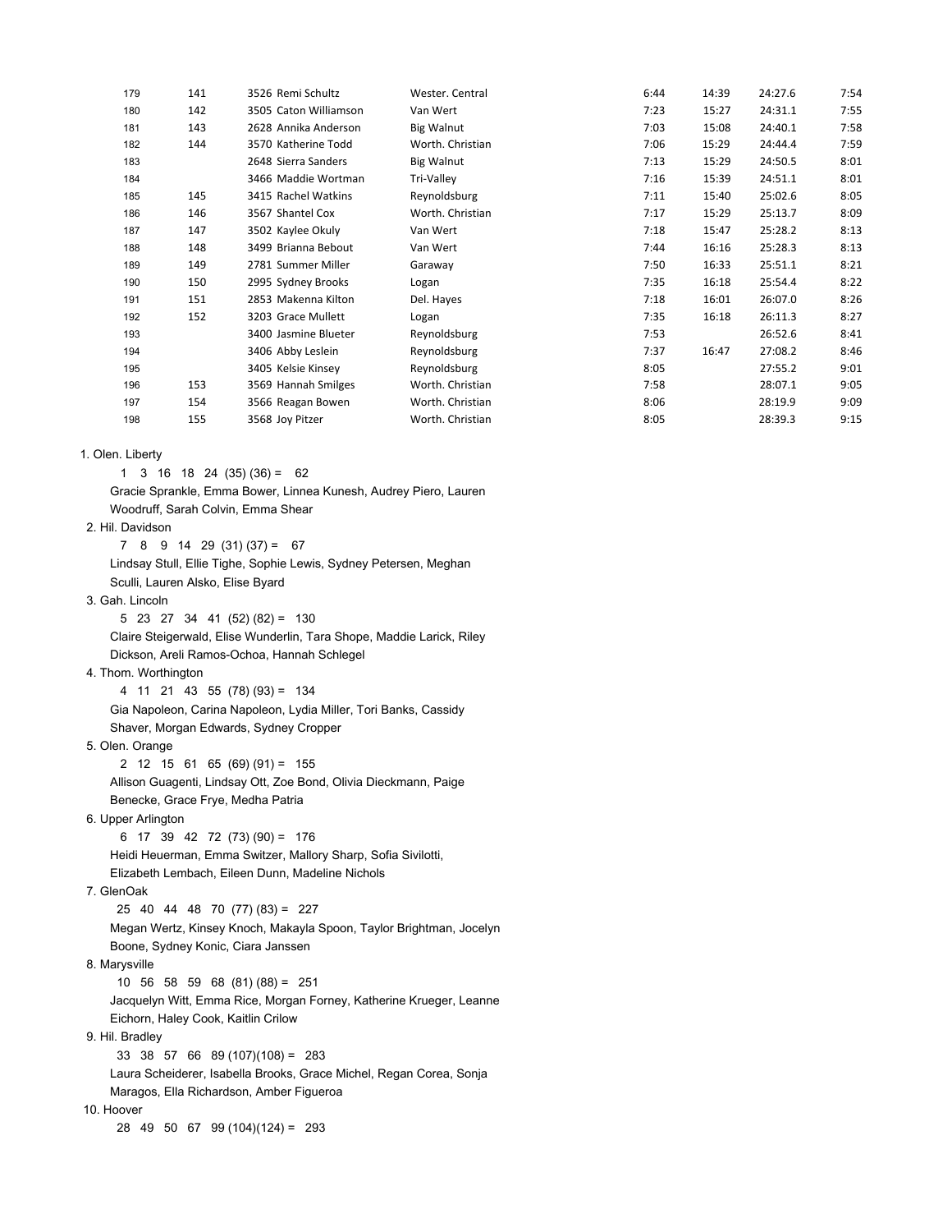| 179 | 141 | 3526 Remi Schultz     | Wester. Central   | 6:44 | 14:39 | 24:27.6 | 7:54 |
|-----|-----|-----------------------|-------------------|------|-------|---------|------|
| 180 | 142 | 3505 Caton Williamson | Van Wert          | 7:23 | 15:27 | 24:31.1 | 7:55 |
| 181 | 143 | 2628 Annika Anderson  | <b>Big Walnut</b> | 7:03 | 15:08 | 24:40.1 | 7:58 |
| 182 | 144 | 3570 Katherine Todd   | Worth. Christian  | 7:06 | 15:29 | 24:44.4 | 7:59 |
| 183 |     | 2648 Sierra Sanders   | <b>Big Walnut</b> | 7:13 | 15:29 | 24:50.5 | 8:01 |
| 184 |     | 3466 Maddie Wortman   | Tri-Valley        | 7:16 | 15:39 | 24:51.1 | 8:01 |
| 185 | 145 | 3415 Rachel Watkins   | Reynoldsburg      | 7:11 | 15:40 | 25:02.6 | 8:05 |
| 186 | 146 | 3567 Shantel Cox      | Worth. Christian  | 7:17 | 15:29 | 25:13.7 | 8:09 |
| 187 | 147 | 3502 Kaylee Okuly     | Van Wert          | 7:18 | 15:47 | 25:28.2 | 8:13 |
| 188 | 148 | 3499 Brianna Bebout   | Van Wert          | 7:44 | 16:16 | 25:28.3 | 8:13 |
| 189 | 149 | 2781 Summer Miller    | Garaway           | 7:50 | 16:33 | 25:51.1 | 8:21 |
| 190 | 150 | 2995 Sydney Brooks    | Logan             | 7:35 | 16:18 | 25:54.4 | 8:22 |
| 191 | 151 | 2853 Makenna Kilton   | Del. Hayes        | 7:18 | 16:01 | 26:07.0 | 8:26 |
| 192 | 152 | 3203 Grace Mullett    | Logan             | 7:35 | 16:18 | 26:11.3 | 8:27 |
| 193 |     | 3400 Jasmine Blueter  | Reynoldsburg      | 7:53 |       | 26:52.6 | 8:41 |
| 194 |     | 3406 Abby Leslein     | Reynoldsburg      | 7:37 | 16:47 | 27:08.2 | 8:46 |
| 195 |     | 3405 Kelsie Kinsey    | Reynoldsburg      | 8:05 |       | 27:55.2 | 9:01 |
| 196 | 153 | 3569 Hannah Smilges   | Worth. Christian  | 7:58 |       | 28:07.1 | 9:05 |
| 197 | 154 | 3566 Reagan Bowen     | Worth. Christian  | 8:06 |       | 28:19.9 | 9:09 |
| 198 | 155 | 3568 Joy Pitzer       | Worth. Christian  | 8:05 |       | 28:39.3 | 9:15 |
|     |     |                       |                   |      |       |         |      |

1. Olen. Liberty

1 3 16 18 24 (35) (36) = 62

 Gracie Sprankle, Emma Bower, Linnea Kunesh, Audrey Piero, Lauren Woodruff, Sarah Colvin, Emma Shear

### 2. Hil. Davidson

 $7 \t8 \t9 \t14 \t29 \t(31) \t(37) = 67$  Lindsay Stull, Ellie Tighe, Sophie Lewis, Sydney Petersen, Meghan Sculli, Lauren Alsko, Elise Byard

3. Gah. Lincoln

5 23 27 34 41 (52) (82) = 130

 Claire Steigerwald, Elise Wunderlin, Tara Shope, Maddie Larick, Riley Dickson, Areli Ramos-Ochoa, Hannah Schlegel

#### 4. Thom. Worthington

 4 11 21 43 55 (78) (93) = 134 Gia Napoleon, Carina Napoleon, Lydia Miller, Tori Banks, Cassidy Shaver, Morgan Edwards, Sydney Cropper

## 5. Olen. Orange

 2 12 15 61 65 (69) (91) = 155 Allison Guagenti, Lindsay Ott, Zoe Bond, Olivia Dieckmann, Paige Benecke, Grace Frye, Medha Patria

### 6. Upper Arlington

 6 17 39 42 72 (73) (90) = 176 Heidi Heuerman, Emma Switzer, Mallory Sharp, Sofia Sivilotti, Elizabeth Lembach, Eileen Dunn, Madeline Nichols

## 7. GlenOak

25 40 44 48 70 (77) (83) = 227

 Megan Wertz, Kinsey Knoch, Makayla Spoon, Taylor Brightman, Jocelyn Boone, Sydney Konic, Ciara Janssen

#### 8. Marysville

 10 56 58 59 68 (81) (88) = 251 Jacquelyn Witt, Emma Rice, Morgan Forney, Katherine Krueger, Leanne Eichorn, Haley Cook, Kaitlin Crilow

9. Hil. Bradley

33 38 57 66 89 (107)(108) = 283

Laura Scheiderer, Isabella Brooks, Grace Michel, Regan Corea, Sonja

Maragos, Ella Richardson, Amber Figueroa

## 10. Hoover

28 49 50 67 99 (104)(124) = 293